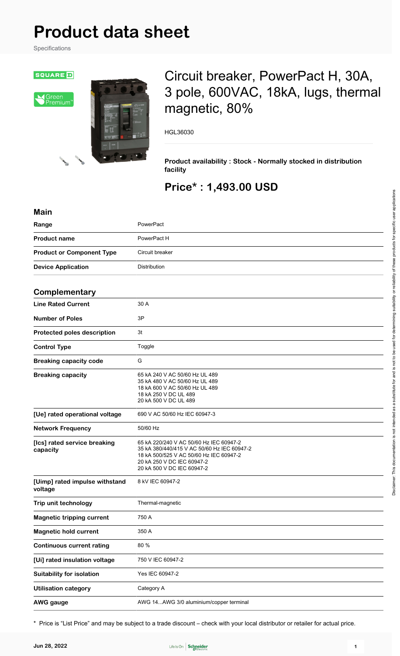# **Product data sheet**

Specifications



# Circuit breaker, PowerPact H, 30A, 3 pole, 600VAC, 18kA, lugs, thermal magnetic, 80%

HGL36030

**Product availability : Stock - Normally stocked in distribution facility**

# **Price\* : 1,493.00 USD**

| <b>Main</b>                               |                                                                                                                                                                                               |
|-------------------------------------------|-----------------------------------------------------------------------------------------------------------------------------------------------------------------------------------------------|
| Range                                     | PowerPact                                                                                                                                                                                     |
| <b>Product name</b>                       | PowerPact H                                                                                                                                                                                   |
| <b>Product or Component Type</b>          | Circuit breaker                                                                                                                                                                               |
| <b>Device Application</b>                 | Distribution                                                                                                                                                                                  |
|                                           |                                                                                                                                                                                               |
| Complementary                             |                                                                                                                                                                                               |
| <b>Line Rated Current</b>                 | 30 A                                                                                                                                                                                          |
| <b>Number of Poles</b>                    | 3P                                                                                                                                                                                            |
| Protected poles description               | 3t                                                                                                                                                                                            |
| <b>Control Type</b>                       | Toggle                                                                                                                                                                                        |
| <b>Breaking capacity code</b>             | G                                                                                                                                                                                             |
| <b>Breaking capacity</b>                  | 65 kA 240 V AC 50/60 Hz UL 489<br>35 kA 480 V AC 50/60 Hz UL 489<br>18 kA 600 V AC 50/60 Hz UL 489<br>18 kA 250 V DC UL 489<br>20 kA 500 V DC UL 489                                          |
| [Ue] rated operational voltage            | 690 V AC 50/60 Hz IEC 60947-3                                                                                                                                                                 |
| <b>Network Frequency</b>                  | 50/60 Hz                                                                                                                                                                                      |
| [Ics] rated service breaking<br>capacity  | 65 kA 220/240 V AC 50/60 Hz IEC 60947-2<br>35 kA 380/440/415 V AC 50/60 Hz IEC 60947-2<br>18 kA 500/525 V AC 50/60 Hz IEC 60947-2<br>20 kA 250 V DC IEC 60947-2<br>20 kA 500 V DC IEC 60947-2 |
| [Uimp] rated impulse withstand<br>voltage | 8 kV IEC 60947-2                                                                                                                                                                              |
| Trip unit technology                      | Thermal-magnetic                                                                                                                                                                              |
| <b>Magnetic tripping current</b>          | 750 A                                                                                                                                                                                         |
| <b>Magnetic hold current</b>              | 350 A                                                                                                                                                                                         |
| <b>Continuous current rating</b>          | 80 %                                                                                                                                                                                          |
| [Ui] rated insulation voltage             | 750 V IEC 60947-2                                                                                                                                                                             |
| <b>Suitability for isolation</b>          | Yes IEC 60947-2                                                                                                                                                                               |
| <b>Utilisation category</b>               | Category A                                                                                                                                                                                    |
| <b>AWG</b> gauge                          | AWG 14AWG 3/0 aluminium/copper terminal                                                                                                                                                       |

\* Price is "List Price" and may be subject to a trade discount – check with your local distributor or retailer for actual price.

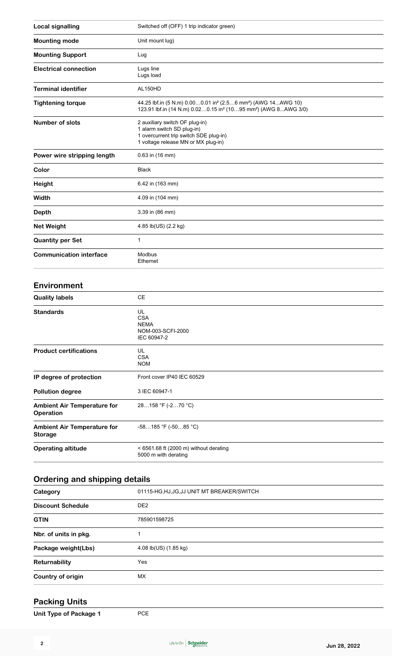| <b>Local signalling</b>        | Switched off (OFF) 1 trip indicator green)                                                                                                                                     |
|--------------------------------|--------------------------------------------------------------------------------------------------------------------------------------------------------------------------------|
| <b>Mounting mode</b>           | Unit mount lug)                                                                                                                                                                |
| <b>Mounting Support</b>        | Lug                                                                                                                                                                            |
| <b>Electrical connection</b>   | Lugs line<br>Lugs load                                                                                                                                                         |
| <b>Terminal identifier</b>     | AL150HD                                                                                                                                                                        |
| <b>Tightening torque</b>       | 44.25 lbf.in (5 N.m) 0.000.01 in <sup>2</sup> (2.56 mm <sup>2</sup> ) (AWG 14AWG 10)<br>123.91 lbf.in (14 N.m) 0.020.15 in <sup>2</sup> (1095 mm <sup>2</sup> ) (AWG 8AWG 3/0) |
| <b>Number of slots</b>         | 2 auxiliary switch OF plug-in)<br>1 alarm switch SD plug-in)<br>1 overcurrent trip switch SDE plug-in)<br>1 voltage release MN or MX plug-in)                                  |
| Power wire stripping length    | $0.63$ in (16 mm)                                                                                                                                                              |
| Color                          | <b>Black</b>                                                                                                                                                                   |
| Height                         | 6.42 in (163 mm)                                                                                                                                                               |
| Width                          | 4.09 in (104 mm)                                                                                                                                                               |
| Depth                          | 3.39 in (86 mm)                                                                                                                                                                |
| <b>Net Weight</b>              | 4.85 lb(US) (2.2 kg)                                                                                                                                                           |
| <b>Quantity per Set</b>        | 1                                                                                                                                                                              |
| <b>Communication interface</b> | Modbus<br>Ethernet                                                                                                                                                             |

#### **Environment**

| <b>Quality labels</b>                                | CE                                                                  |
|------------------------------------------------------|---------------------------------------------------------------------|
| <b>Standards</b>                                     | UL<br><b>CSA</b><br><b>NEMA</b><br>NOM-003-SCFI-2000<br>IEC 60947-2 |
| <b>Product certifications</b>                        | UL<br><b>CSA</b><br><b>NOM</b>                                      |
| IP degree of protection                              | Front cover IP40 IEC 60529                                          |
| <b>Pollution degree</b>                              | 3 IEC 60947-1                                                       |
| <b>Ambient Air Temperature for</b><br>Operation      | 28158 °F (-270 °C)                                                  |
| <b>Ambient Air Temperature for</b><br><b>Storage</b> | $-58185$ °F ( $-5085$ °C)                                           |
| <b>Operating altitude</b>                            | $<$ 6561.68 ft (2000 m) without derating<br>5000 m with derating    |

#### **Ordering and shipping details**

| Category                 | 01115-HG, HJ, JG, JJ UNIT MT BREAKER/SWITCH |
|--------------------------|---------------------------------------------|
| <b>Discount Schedule</b> | DE <sub>2</sub>                             |
| <b>GTIN</b>              | 785901598725                                |
| Nbr. of units in pkg.    |                                             |
| Package weight(Lbs)      | 4.08 lb(US) (1.85 kg)                       |
| Returnability            | Yes                                         |
| Country of origin        | MX.                                         |

#### **Packing Units**

| Unit Type of Package 1 | <b>PCE</b> |
|------------------------|------------|
|------------------------|------------|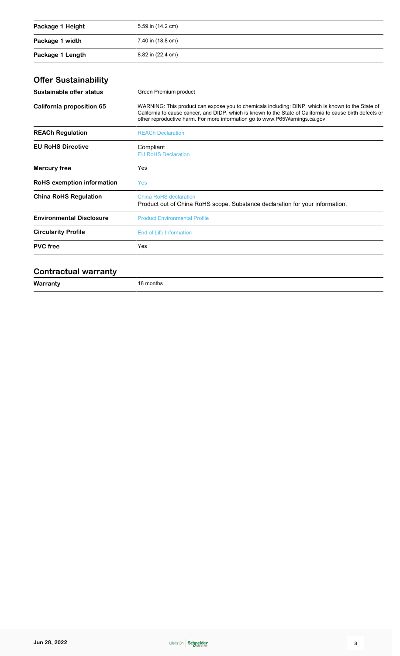| Package 1 Height | 5.59 in (14.2 cm) |
|------------------|-------------------|
| Package 1 width  | 7.40 in (18.8 cm) |
| Package 1 Length | 8.82 in (22.4 cm) |

## **Offer Sustainability**

| Sustainable offer status          | Green Premium product                                                                                                                                                                                                                                                                        |
|-----------------------------------|----------------------------------------------------------------------------------------------------------------------------------------------------------------------------------------------------------------------------------------------------------------------------------------------|
| California proposition 65         | WARNING: This product can expose you to chemicals including: DINP, which is known to the State of<br>California to cause cancer, and DIDP, which is known to the State of California to cause birth defects or<br>other reproductive harm. For more information go to www.P65Warnings.ca.gov |
| <b>REACh Regulation</b>           | <b>REACh Declaration</b>                                                                                                                                                                                                                                                                     |
| <b>EU RoHS Directive</b>          | Compliant<br><b>EU RoHS Declaration</b>                                                                                                                                                                                                                                                      |
| Mercury free                      | Yes                                                                                                                                                                                                                                                                                          |
| <b>RoHS</b> exemption information | <b>Yes</b>                                                                                                                                                                                                                                                                                   |
| <b>China RoHS Regulation</b>      | China RoHS declaration<br>Product out of China RoHS scope. Substance declaration for your information.                                                                                                                                                                                       |
| <b>Environmental Disclosure</b>   | <b>Product Environmental Profile</b>                                                                                                                                                                                                                                                         |
| <b>Circularity Profile</b>        | End of Life Information                                                                                                                                                                                                                                                                      |
| <b>PVC</b> free                   | Yes                                                                                                                                                                                                                                                                                          |
|                                   |                                                                                                                                                                                                                                                                                              |

#### **Contractual warranty**

| W<br><b>TTALLALLY</b><br>and the control | ontns |
|------------------------------------------|-------|